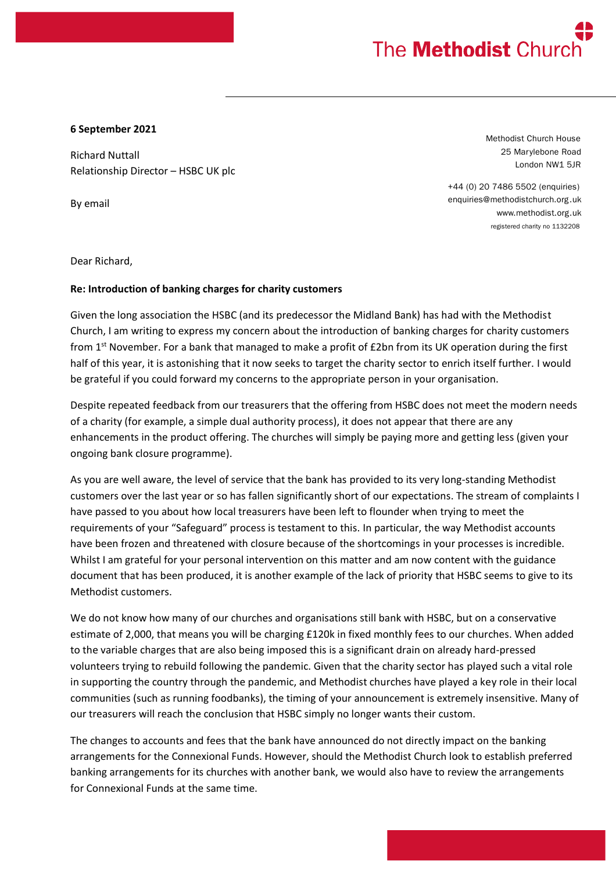## The **Methodist** Churd

## **6 September 2021**

Richard Nuttall Relationship Director – HSBC UK plc

By email

Methodist Church House 25 Marylebone Road London NW1 5JR

+44 (0) 20 7486 5502 (enquiries) enquiries@methodistchurch.org .uk www.methodist.org.uk registered charity no 1132208

Dear Richard,

## **Re: Introduction of banking charges for charity customers**

Given the long association the HSBC (and its predecessor the Midland Bank) has had with the Methodist Church, I am writing to express my concern about the introduction of banking charges for charity customers from 1<sup>st</sup> November. For a bank that managed to make a profit of £2bn from its UK operation during the first half of this year, it is astonishing that it now seeks to target the charity sector to enrich itself further. I would be grateful if you could forward my concerns to the appropriate person in your organisation.

Despite repeated feedback from our treasurers that the offering from HSBC does not meet the modern needs of a charity (for example, a simple dual authority process), it does not appear that there are any enhancements in the product offering. The churches will simply be paying more and getting less (given your ongoing bank closure programme).

As you are well aware, the level of service that the bank has provided to its very long-standing Methodist customers over the last year or so has fallen significantly short of our expectations. The stream of complaints I have passed to you about how local treasurers have been left to flounder when trying to meet the requirements of your "Safeguard" process is testament to this. In particular, the way Methodist accounts have been frozen and threatened with closure because of the shortcomings in your processes is incredible. Whilst I am grateful for your personal intervention on this matter and am now content with the guidance document that has been produced, it is another example of the lack of priority that HSBC seems to give to its Methodist customers.

We do not know how many of our churches and organisations still bank with HSBC, but on a conservative estimate of 2,000, that means you will be charging £120k in fixed monthly fees to our churches. When added to the variable charges that are also being imposed this is a significant drain on already hard-pressed volunteers trying to rebuild following the pandemic. Given that the charity sector has played such a vital role in supporting the country through the pandemic, and Methodist churches have played a key role in their local communities (such as running foodbanks), the timing of your announcement is extremely insensitive. Many of our treasurers will reach the conclusion that HSBC simply no longer wants their custom.

The changes to accounts and fees that the bank have announced do not directly impact on the banking arrangements for the Connexional Funds. However, should the Methodist Church look to establish preferred banking arrangements for its churches with another bank, we would also have to review the arrangements for Connexional Funds at the same time.